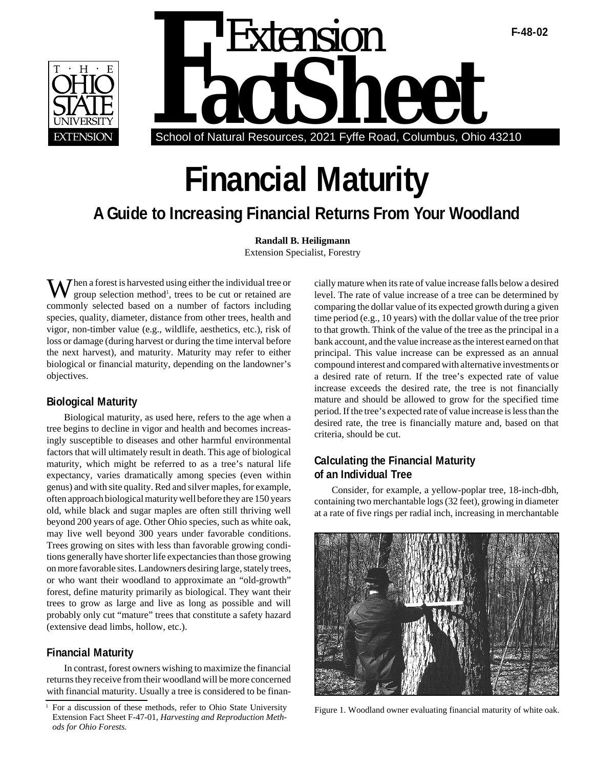



# **Financial Maturity**

# **A Guide to Increasing Financial Returns From Your Woodland**

**Randall B. Heiligmann** Extension Specialist, Forestry

 $\boldsymbol{\eta}$  hen a forest is harvested using either the individual tree or group selection method<sup>1</sup>, trees to be cut or retained are commonly selected based on a number of factors including species, quality, diameter, distance from other trees, health and vigor, non-timber value (e.g., wildlife, aesthetics, etc.), risk of loss or damage (during harvest or during the time interval before the next harvest), and maturity. Maturity may refer to either biological or financial maturity, depending on the landowner's objectives.

### **Biological Maturity**

Biological maturity, as used here, refers to the age when a tree begins to decline in vigor and health and becomes increasingly susceptible to diseases and other harmful environmental factors that will ultimately result in death. This age of biological maturity, which might be referred to as a tree's natural life expectancy, varies dramatically among species (even within genus) and with site quality. Red and silver maples, for example, often approach biological maturity well before they are 150 years old, while black and sugar maples are often still thriving well beyond 200 years of age. Other Ohio species, such as white oak, may live well beyond 300 years under favorable conditions. Trees growing on sites with less than favorable growing conditions generally have shorter life expectancies than those growing on more favorable sites. Landowners desiring large, stately trees, or who want their woodland to approximate an "old-growth" forest, define maturity primarily as biological. They want their trees to grow as large and live as long as possible and will probably only cut "mature" trees that constitute a safety hazard (extensive dead limbs, hollow, etc.).

## **Financial Maturity**

In contrast, forest owners wishing to maximize the financial returns they receive from their woodland will be more concerned with financial maturity. Usually a tree is considered to be financially mature when its rate of value increase falls below a desired level. The rate of value increase of a tree can be determined by comparing the dollar value of its expected growth during a given time period (e.g., 10 years) with the dollar value of the tree prior to that growth. Think of the value of the tree as the principal in a bank account, and the value increase as the interest earned on that principal. This value increase can be expressed as an annual compound interest and compared with alternative investments or a desired rate of return. If the tree's expected rate of value increase exceeds the desired rate, the tree is not financially mature and should be allowed to grow for the specified time period. If the tree's expected rate of value increase is less than the desired rate, the tree is financially mature and, based on that criteria, should be cut.

# **Calculating the Financial Maturity of an Individual Tree**

Consider, for example, a yellow-poplar tree, 18-inch-dbh, containing two merchantable logs (32 feet), growing in diameter at a rate of five rings per radial inch, increasing in merchantable



Figure 1. Woodland owner evaluating financial maturity of white oak.

<sup>1</sup> For a discussion of these methods, refer to Ohio State University Extension Fact Sheet F-47-01, *Harvesting and Reproduction Methods for Ohio Forests.*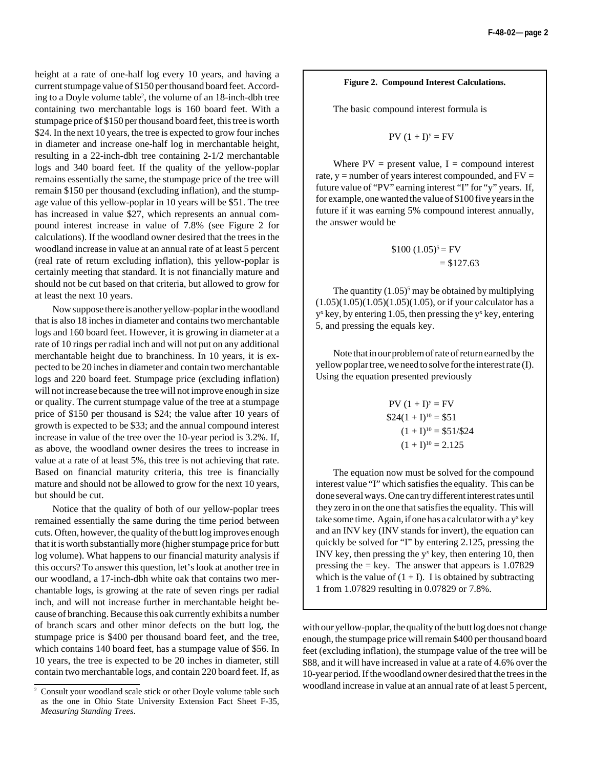height at a rate of one-half log every 10 years, and having a current stumpage value of \$150 per thousand board feet. According to a Doyle volume table2 , the volume of an 18-inch-dbh tree containing two merchantable logs is 160 board feet. With a stumpage price of \$150 per thousand board feet, this tree is worth \$24. In the next 10 years, the tree is expected to grow four inches in diameter and increase one-half log in merchantable height, resulting in a 22-inch-dbh tree containing 2-1/2 merchantable logs and 340 board feet. If the quality of the yellow-poplar remains essentially the same, the stumpage price of the tree will remain \$150 per thousand (excluding inflation), and the stumpage value of this yellow-poplar in 10 years will be \$51. The tree has increased in value \$27, which represents an annual compound interest increase in value of 7.8% (see Figure 2 for calculations). If the woodland owner desired that the trees in the woodland increase in value at an annual rate of at least 5 percent (real rate of return excluding inflation), this yellow-poplar is certainly meeting that standard. It is not financially mature and should not be cut based on that criteria, but allowed to grow for at least the next 10 years.

Now suppose there is another yellow-poplar in the woodland that is also 18 inches in diameter and contains two merchantable logs and 160 board feet. However, it is growing in diameter at a rate of 10 rings per radial inch and will not put on any additional merchantable height due to branchiness. In 10 years, it is expected to be 20 inches in diameter and contain two merchantable logs and 220 board feet. Stumpage price (excluding inflation) will not increase because the tree will not improve enough in size or quality. The current stumpage value of the tree at a stumpage price of \$150 per thousand is \$24; the value after 10 years of growth is expected to be \$33; and the annual compound interest increase in value of the tree over the 10-year period is 3.2%. If, as above, the woodland owner desires the trees to increase in value at a rate of at least 5%, this tree is not achieving that rate. Based on financial maturity criteria, this tree is financially mature and should not be allowed to grow for the next 10 years, but should be cut.

Notice that the quality of both of our yellow-poplar trees remained essentially the same during the time period between cuts. Often, however, the quality of the butt log improves enough that it is worth substantially more (higher stumpage price for butt log volume). What happens to our financial maturity analysis if this occurs? To answer this question, let's look at another tree in our woodland, a 17-inch-dbh white oak that contains two merchantable logs, is growing at the rate of seven rings per radial inch, and will not increase further in merchantable height because of branching. Because this oak currently exhibits a number of branch scars and other minor defects on the butt log, the stumpage price is \$400 per thousand board feet, and the tree, which contains 140 board feet, has a stumpage value of \$56. In 10 years, the tree is expected to be 20 inches in diameter, still contain two merchantable logs, and contain 220 board feet. If, as

#### **Figure 2. Compound Interest Calculations.**

The basic compound interest formula is

$$
PV (1 + I)^y = FV
$$

Where  $PV = present value$ ,  $I = compound$  interest rate,  $y =$  number of years interest compounded, and  $FV =$ future value of "PV" earning interest "I" for "y" years. If, for example, one wanted the value of \$100 five years in the future if it was earning 5% compound interest annually, the answer would be

$$
$100 (1.05)^5 = FV = $127.63
$$

The quantity  $(1.05)^5$  may be obtained by multiplying  $(1.05)(1.05)(1.05)(1.05)(1.05)$ , or if your calculator has a  $y^x$  key, by entering 1.05, then pressing the  $y^x$  key, entering 5, and pressing the equals key.

Note that in our problem of rate of return earned by the yellow poplar tree, we need to solve for the interest rate (I). Using the equation presented previously

$$
PV (1 + I)y = FV
$$
  
\$24(1 + I)<sup>10</sup> = \$51  
(1 + I)<sup>10</sup> = \$51/\$24  
(1 + I)<sup>10</sup> = 2.125

The equation now must be solved for the compound interest value "I" which satisfies the equality. This can be done several ways. One can try different interest rates until they zero in on the one that satisfies the equality. This will take some time. Again, if one has a calculator with a  $y^x$  key and an INV key (INV stands for invert), the equation can quickly be solved for "I" by entering 2.125, pressing the INV key, then pressing the  $y^x$  key, then entering 10, then pressing the  $=$  key. The answer that appears is 1.07829 which is the value of  $(1 + I)$ . I is obtained by subtracting 1 from 1.07829 resulting in 0.07829 or 7.8%.

with our yellow-poplar, the quality of the butt log does not change enough, the stumpage price will remain \$400 per thousand board feet (excluding inflation), the stumpage value of the tree will be \$88, and it will have increased in value at a rate of 4.6% over the 10-year period. If the woodland owner desired that the trees in the  $\frac{1}{2}$  Consult your woodland scale stick or other Doyle volume table such woodland increase in value at an annual rate of at least 5 percent,

as the one in Ohio State University Extension Fact Sheet F-35, *Measuring Standing Trees*.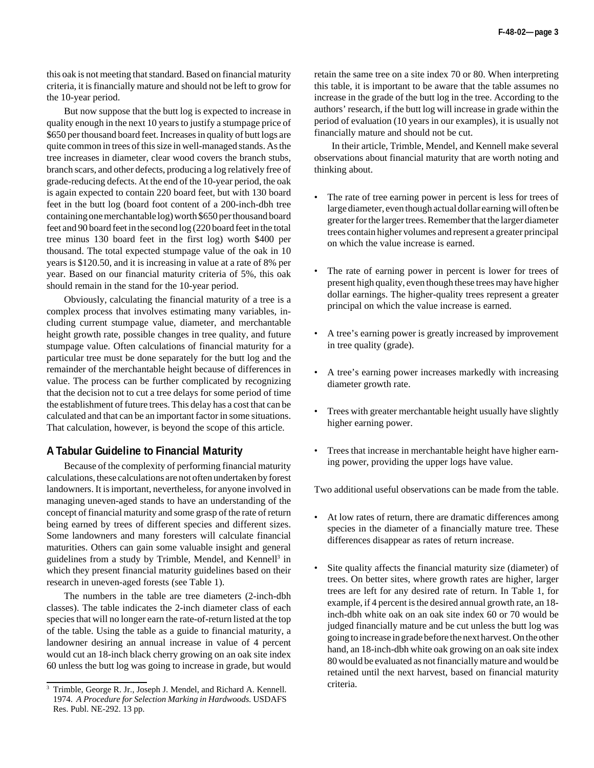this oak is not meeting that standard. Based on financial maturity criteria, it is financially mature and should not be left to grow for the 10-year period.

But now suppose that the butt log is expected to increase in quality enough in the next 10 years to justify a stumpage price of \$650 per thousand board feet. Increases in quality of butt logs are quite common in trees of this size in well-managed stands. As the tree increases in diameter, clear wood covers the branch stubs, branch scars, and other defects, producing a log relatively free of grade-reducing defects. At the end of the 10-year period, the oak is again expected to contain 220 board feet, but with 130 board feet in the butt log (board foot content of a 200-inch-dbh tree containing one merchantable log) worth \$650 per thousand board feet and 90 board feet in the second log (220 board feet in the total tree minus 130 board feet in the first log) worth \$400 per thousand. The total expected stumpage value of the oak in 10 years is \$120.50, and it is increasing in value at a rate of 8% per year. Based on our financial maturity criteria of 5%, this oak should remain in the stand for the 10-year period.

Obviously, calculating the financial maturity of a tree is a complex process that involves estimating many variables, including current stumpage value, diameter, and merchantable height growth rate, possible changes in tree quality, and future stumpage value. Often calculations of financial maturity for a particular tree must be done separately for the butt log and the remainder of the merchantable height because of differences in value. The process can be further complicated by recognizing that the decision not to cut a tree delays for some period of time the establishment of future trees. This delay has a cost that can be calculated and that can be an important factor in some situations. That calculation, however, is beyond the scope of this article.

#### **A Tabular Guideline to Financial Maturity**

Because of the complexity of performing financial maturity calculations, these calculations are not often undertaken by forest landowners. It is important, nevertheless, for anyone involved in managing uneven-aged stands to have an understanding of the concept of financial maturity and some grasp of the rate of return being earned by trees of different species and different sizes. Some landowners and many foresters will calculate financial maturities. Others can gain some valuable insight and general guidelines from a study by Trimble, Mendel, and Kennell<sup>3</sup> in which they present financial maturity guidelines based on their research in uneven-aged forests (see Table 1).

The numbers in the table are tree diameters (2-inch-dbh classes). The table indicates the 2-inch diameter class of each species that will no longer earn the rate-of-return listed at the top of the table. Using the table as a guide to financial maturity, a landowner desiring an annual increase in value of 4 percent would cut an 18-inch black cherry growing on an oak site index 60 unless the butt log was going to increase in grade, but would retain the same tree on a site index 70 or 80. When interpreting this table, it is important to be aware that the table assumes no increase in the grade of the butt log in the tree. According to the authors' research, if the butt log will increase in grade within the period of evaluation (10 years in our examples), it is usually not financially mature and should not be cut.

In their article, Trimble, Mendel, and Kennell make several observations about financial maturity that are worth noting and thinking about.

- The rate of tree earning power in percent is less for trees of large diameter, even though actual dollar earning will often be greater for the larger trees. Remember that the larger diameter trees contain higher volumes and represent a greater principal on which the value increase is earned.
- The rate of earning power in percent is lower for trees of present high quality, even though these trees may have higher dollar earnings. The higher-quality trees represent a greater principal on which the value increase is earned.
- A tree's earning power is greatly increased by improvement in tree quality (grade).
- A tree's earning power increases markedly with increasing diameter growth rate.
- Trees with greater merchantable height usually have slightly higher earning power.
- Trees that increase in merchantable height have higher earning power, providing the upper logs have value.

Two additional useful observations can be made from the table.

- At low rates of return, there are dramatic differences among species in the diameter of a financially mature tree. These differences disappear as rates of return increase.
- Site quality affects the financial maturity size (diameter) of trees. On better sites, where growth rates are higher, larger trees are left for any desired rate of return. In Table 1, for example, if 4 percent is the desired annual growth rate, an 18 inch-dbh white oak on an oak site index 60 or 70 would be judged financially mature and be cut unless the butt log was going to increase in grade before the next harvest. On the other hand, an 18-inch-dbh white oak growing on an oak site index 80 would be evaluated as not financially mature and would be retained until the next harvest, based on financial maturity

Trimble, George R. Jr., Joseph J. Mendel, and Richard A. Kennell. criteria. 1974. *A Procedure for Selection Marking in Hardwoods.* USDAFS Res. Publ. NE-292. 13 pp.